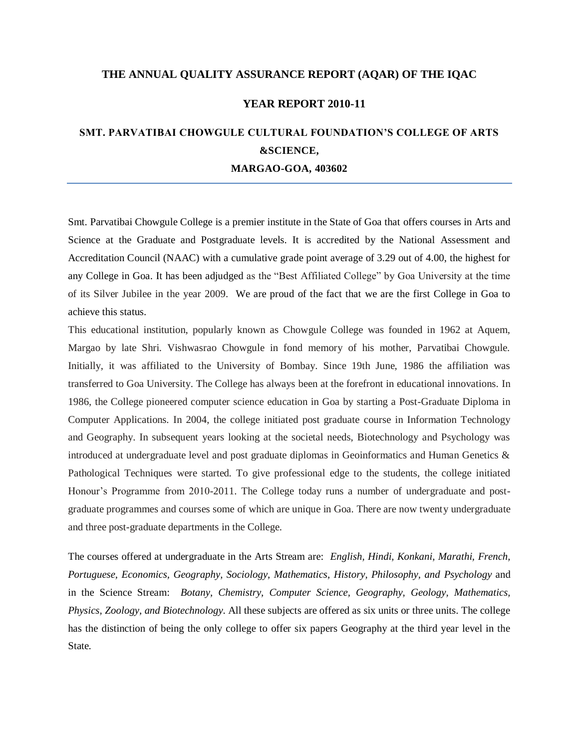### **THE ANNUAL QUALITY ASSURANCE REPORT (AQAR) OF THE IQAC**

### **YEAR REPORT 2010-11**

# **SMT. PARVATIBAI CHOWGULE CULTURAL FOUNDATION'S COLLEGE OF ARTS &SCIENCE, MARGAO-GOA, 403602**

Smt. Parvatibai Chowgule College is a premier institute in the State of Goa that offers courses in Arts and Science at the Graduate and Postgraduate levels. It is accredited by the National Assessment and Accreditation Council (NAAC) with a cumulative grade point average of 3.29 out of 4.00, the highest for any College in Goa. It has been adjudged as the "Best Affiliated College" by Goa University at the time of its Silver Jubilee in the year 2009. We are proud of the fact that we are the first College in Goa to achieve this status.

This educational institution, popularly known as Chowgule College was founded in 1962 at Aquem, Margao by late Shri. Vishwasrao Chowgule in fond memory of his mother, Parvatibai Chowgule. Initially, it was affiliated to the University of Bombay. Since 19th June, 1986 the affiliation was transferred to Goa University. The College has always been at the forefront in educational innovations. In 1986, the College pioneered computer science education in Goa by starting a Post-Graduate Diploma in Computer Applications. In 2004, the college initiated post graduate course in Information Technology and Geography. In subsequent years looking at the societal needs, Biotechnology and Psychology was introduced at undergraduate level and post graduate diplomas in Geoinformatics and Human Genetics & Pathological Techniques were started. To give professional edge to the students, the college initiated Honour's Programme from 2010-2011. The College today runs a number of undergraduate and postgraduate programmes and courses some of which are unique in Goa. There are now twenty undergraduate and three post-graduate departments in the College.

The courses offered at undergraduate in the Arts Stream are: *English, Hindi, Konkani, Marathi, French, Portuguese, Economics, Geography, Sociology, Mathematics, History, Philosophy, and Psychology* and in the Science Stream: *Botany, Chemistry, Computer Science, Geography, Geology, Mathematics, Physics, Zoology, and Biotechnology*. All these subjects are offered as six units or three units. The college has the distinction of being the only college to offer six papers Geography at the third year level in the State.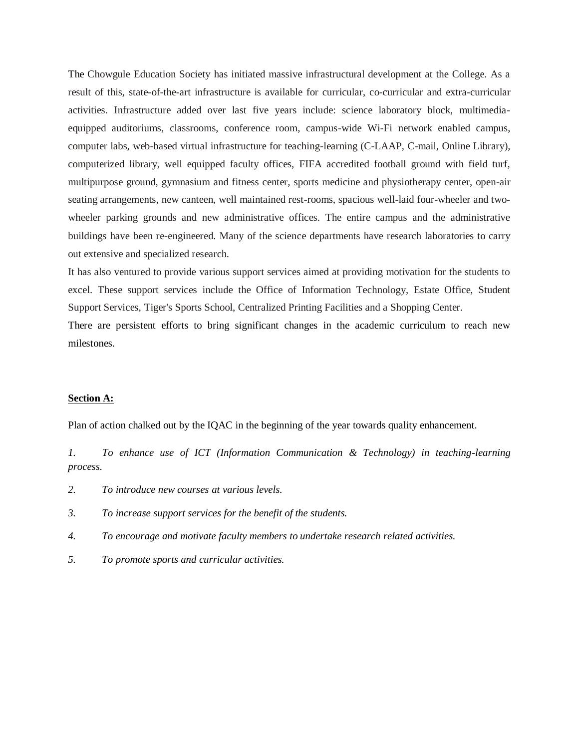The Chowgule Education Society has initiated massive infrastructural development at the College. As a result of this, state-of-the-art infrastructure is available for curricular, co-curricular and extra-curricular activities. Infrastructure added over last five years include: science laboratory block, multimediaequipped auditoriums, classrooms, conference room, campus-wide Wi-Fi network enabled campus, computer labs, web-based virtual infrastructure for teaching-learning (C-LAAP, C-mail, Online Library), computerized library, well equipped faculty offices, FIFA accredited football ground with field turf, multipurpose ground, gymnasium and fitness center, sports medicine and physiotherapy center, open-air seating arrangements, new canteen, well maintained rest-rooms, spacious well-laid four-wheeler and twowheeler parking grounds and new administrative offices. The entire campus and the administrative buildings have been re-engineered. Many of the science departments have research laboratories to carry out extensive and specialized research.

It has also ventured to provide various support services aimed at providing motivation for the students to excel. These support services include the Office of Information Technology, Estate Office, Student Support Services, Tiger's Sports School, Centralized Printing Facilities and a Shopping Center.

There are persistent efforts to bring significant changes in the academic curriculum to reach new milestones.

### **Section A:**

Plan of action chalked out by the IQAC in the beginning of the year towards quality enhancement.

*1. To enhance use of ICT (Information Communication & Technology) in teaching-learning process.*

- *2. To introduce new courses at various levels.*
- *3. To increase support services for the benefit of the students.*
- *4. To encourage and motivate faculty members to undertake research related activities.*
- *5. To promote sports and curricular activities.*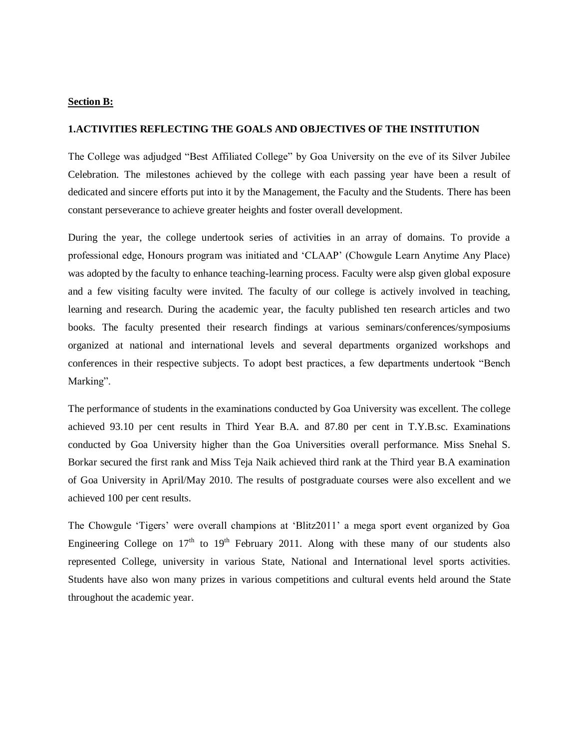### **Section B:**

#### **1.ACTIVITIES REFLECTING THE GOALS AND OBJECTIVES OF THE INSTITUTION**

The College was adjudged "Best Affiliated College" by Goa University on the eve of its Silver Jubilee Celebration. The milestones achieved by the college with each passing year have been a result of dedicated and sincere efforts put into it by the Management, the Faculty and the Students. There has been constant perseverance to achieve greater heights and foster overall development.

During the year, the college undertook series of activities in an array of domains. To provide a professional edge, Honours program was initiated and "CLAAP" (Chowgule Learn Anytime Any Place) was adopted by the faculty to enhance teaching-learning process. Faculty were alsp given global exposure and a few visiting faculty were invited. The faculty of our college is actively involved in teaching, learning and research. During the academic year, the faculty published ten research articles and two books. The faculty presented their research findings at various seminars/conferences/symposiums organized at national and international levels and several departments organized workshops and conferences in their respective subjects. To adopt best practices, a few departments undertook "Bench Marking".

The performance of students in the examinations conducted by Goa University was excellent. The college achieved 93.10 per cent results in Third Year B.A. and 87.80 per cent in T.Y.B.sc. Examinations conducted by Goa University higher than the Goa Universities overall performance. Miss Snehal S. Borkar secured the first rank and Miss Teja Naik achieved third rank at the Third year B.A examination of Goa University in April/May 2010. The results of postgraduate courses were also excellent and we achieved 100 per cent results.

The Chowgule 'Tigers' were overall champions at 'Blitz2011' a mega sport event organized by Goa Engineering College on  $17<sup>th</sup>$  to  $19<sup>th</sup>$  February 2011. Along with these many of our students also represented College, university in various State, National and International level sports activities. Students have also won many prizes in various competitions and cultural events held around the State throughout the academic year.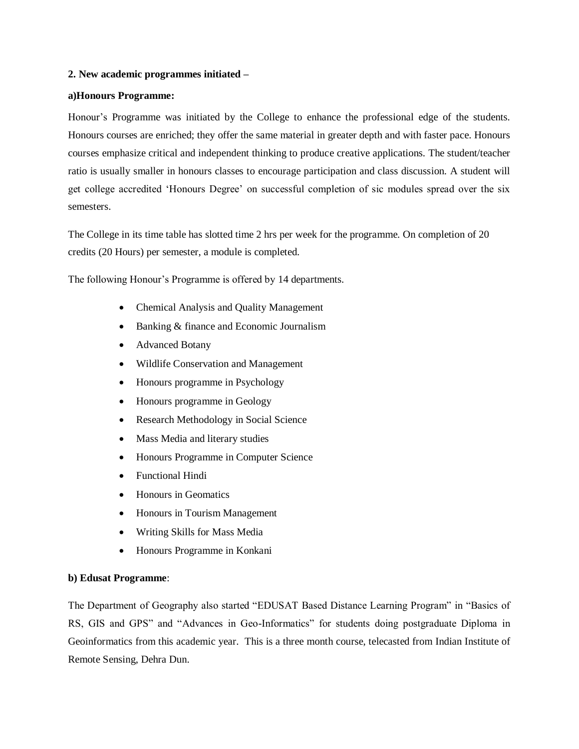### **2. New academic programmes initiated –**

### **a)Honours Programme:**

Honour"s Programme was initiated by the College to enhance the professional edge of the students. Honours courses are enriched; they offer the same material in greater depth and with faster pace. Honours courses emphasize critical and independent thinking to produce creative applications. The student/teacher ratio is usually smaller in honours classes to encourage participation and class discussion. A student will get college accredited "Honours Degree" on successful completion of sic modules spread over the six semesters.

The College in its time table has slotted time 2 hrs per week for the programme. On completion of 20 credits (20 Hours) per semester, a module is completed.

The following Honour's Programme is offered by 14 departments.

- Chemical Analysis and Quality Management
- Banking & finance and Economic Journalism
- Advanced Botany
- Wildlife Conservation and Management
- Honours programme in Psychology
- Honours programme in Geology
- Research Methodology in Social Science
- Mass Media and literary studies
- Honours Programme in Computer Science
- Functional Hindi
- Honours in Geomatics
- Honours in Tourism Management
- Writing Skills for Mass Media
- Honours Programme in Konkani

# **b) Edusat Programme**:

The Department of Geography also started "EDUSAT Based Distance Learning Program" in "Basics of RS, GIS and GPS" and "Advances in Geo-Informatics" for students doing postgraduate Diploma in Geoinformatics from this academic year. This is a three month course, telecasted from Indian Institute of Remote Sensing, Dehra Dun.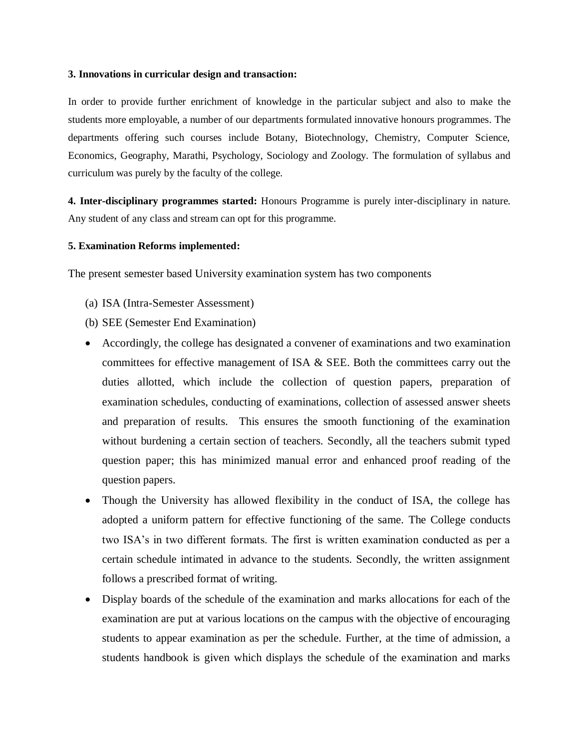### **3. Innovations in curricular design and transaction:**

In order to provide further enrichment of knowledge in the particular subject and also to make the students more employable, a number of our departments formulated innovative honours programmes. The departments offering such courses include Botany, Biotechnology, Chemistry, Computer Science, Economics, Geography, Marathi, Psychology, Sociology and Zoology. The formulation of syllabus and curriculum was purely by the faculty of the college.

**4. Inter-disciplinary programmes started:** Honours Programme is purely inter-disciplinary in nature. Any student of any class and stream can opt for this programme.

# **5. Examination Reforms implemented:**

The present semester based University examination system has two components

- (a) ISA (Intra-Semester Assessment)
- (b) SEE (Semester End Examination)
- Accordingly, the college has designated a convener of examinations and two examination committees for effective management of ISA & SEE. Both the committees carry out the duties allotted, which include the collection of question papers, preparation of examination schedules, conducting of examinations, collection of assessed answer sheets and preparation of results. This ensures the smooth functioning of the examination without burdening a certain section of teachers. Secondly, all the teachers submit typed question paper; this has minimized manual error and enhanced proof reading of the question papers.
- Though the University has allowed flexibility in the conduct of ISA, the college has adopted a uniform pattern for effective functioning of the same. The College conducts two ISA"s in two different formats. The first is written examination conducted as per a certain schedule intimated in advance to the students. Secondly, the written assignment follows a prescribed format of writing.
- Display boards of the schedule of the examination and marks allocations for each of the examination are put at various locations on the campus with the objective of encouraging students to appear examination as per the schedule. Further, at the time of admission, a students handbook is given which displays the schedule of the examination and marks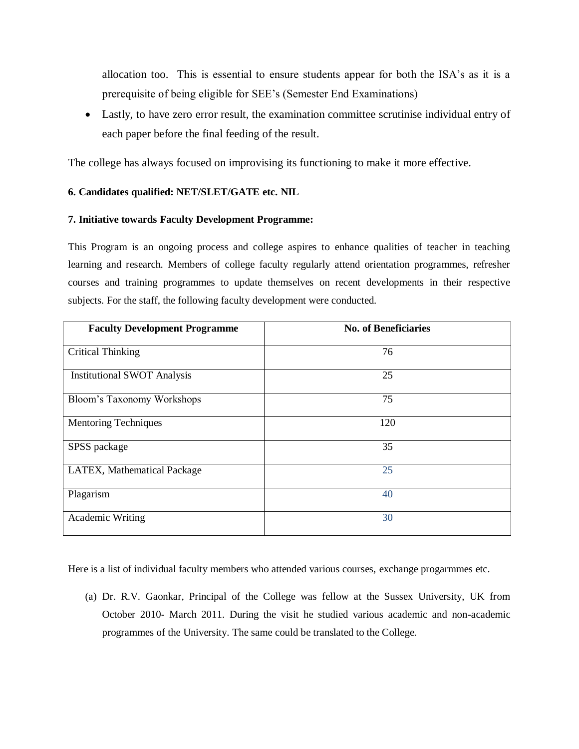allocation too. This is essential to ensure students appear for both the ISA's as it is a prerequisite of being eligible for SEE"s (Semester End Examinations)

 Lastly, to have zero error result, the examination committee scrutinise individual entry of each paper before the final feeding of the result.

The college has always focused on improvising its functioning to make it more effective.

# **6. Candidates qualified: NET/SLET/GATE etc. NIL**

# **7. Initiative towards Faculty Development Programme:**

This Program is an ongoing process and college aspires to enhance qualities of teacher in teaching learning and research. Members of college faculty regularly attend orientation programmes, refresher courses and training programmes to update themselves on recent developments in their respective subjects. For the staff, the following faculty development were conducted.

| <b>Faculty Development Programme</b> | <b>No. of Beneficiaries</b> |
|--------------------------------------|-----------------------------|
| <b>Critical Thinking</b>             | 76                          |
| <b>Institutional SWOT Analysis</b>   | 25                          |
| Bloom's Taxonomy Workshops           | 75                          |
| <b>Mentoring Techniques</b>          | 120                         |
| SPSS package                         | 35                          |
| LATEX, Mathematical Package          | 25                          |
| Plagarism                            | 40                          |
| Academic Writing                     | 30                          |

Here is a list of individual faculty members who attended various courses, exchange progarmmes etc.

(a) Dr. R.V. Gaonkar, Principal of the College was fellow at the Sussex University, UK from October 2010- March 2011. During the visit he studied various academic and non-academic programmes of the University. The same could be translated to the College.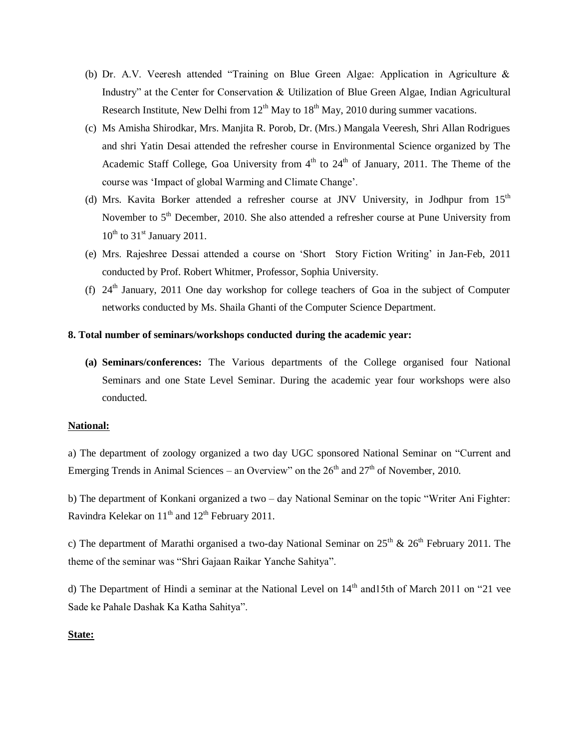- (b) Dr. A.V. Veeresh attended "Training on Blue Green Algae: Application in Agriculture & Industry" at the Center for Conservation & Utilization of Blue Green Algae, Indian Agricultural Research Institute, New Delhi from  $12<sup>th</sup>$  May to  $18<sup>th</sup>$  May, 2010 during summer vacations.
- (c) Ms Amisha Shirodkar, Mrs. Manjita R. Porob, Dr. (Mrs.) Mangala Veeresh, Shri Allan Rodrigues and shri Yatin Desai attended the refresher course in Environmental Science organized by The Academic Staff College, Goa University from  $4<sup>th</sup>$  to  $24<sup>th</sup>$  of January, 2011. The Theme of the course was "Impact of global Warming and Climate Change".
- (d) Mrs. Kavita Borker attended a refresher course at JNV University, in Jodhpur from  $15<sup>th</sup>$ November to  $5<sup>th</sup>$  December, 2010. She also attended a refresher course at Pune University from  $10^{th}$  to  $31^{st}$  January 2011.
- (e) Mrs. Rajeshree Dessai attended a course on "Short Story Fiction Writing" in Jan-Feb, 2011 conducted by Prof. Robert Whitmer, Professor, Sophia University.
- (f)  $24<sup>th</sup>$  January, 2011 One day workshop for college teachers of Goa in the subject of Computer networks conducted by Ms. Shaila Ghanti of the Computer Science Department.

# **8. Total number of seminars/workshops conducted during the academic year:**

**(a) Seminars/conferences:** The Various departments of the College organised four National Seminars and one State Level Seminar. During the academic year four workshops were also conducted.

### **National:**

a) The department of zoology organized a two day UGC sponsored National Seminar on "Current and Emerging Trends in Animal Sciences – an Overview" on the  $26<sup>th</sup>$  and  $27<sup>th</sup>$  of November, 2010.

b) The department of Konkani organized a two – day National Seminar on the topic "Writer Ani Fighter: Ravindra Kelekar on  $11<sup>th</sup>$  and  $12<sup>th</sup>$  February 2011.

c) The department of Marathi organised a two-day National Seminar on  $25<sup>th</sup>$  &  $26<sup>th</sup>$  February 2011. The theme of the seminar was "Shri Gajaan Raikar Yanche Sahitya".

d) The Department of Hindi a seminar at the National Level on  $14<sup>th</sup>$  and 15th of March 2011 on "21 vee Sade ke Pahale Dashak Ka Katha Sahitya".

# **State:**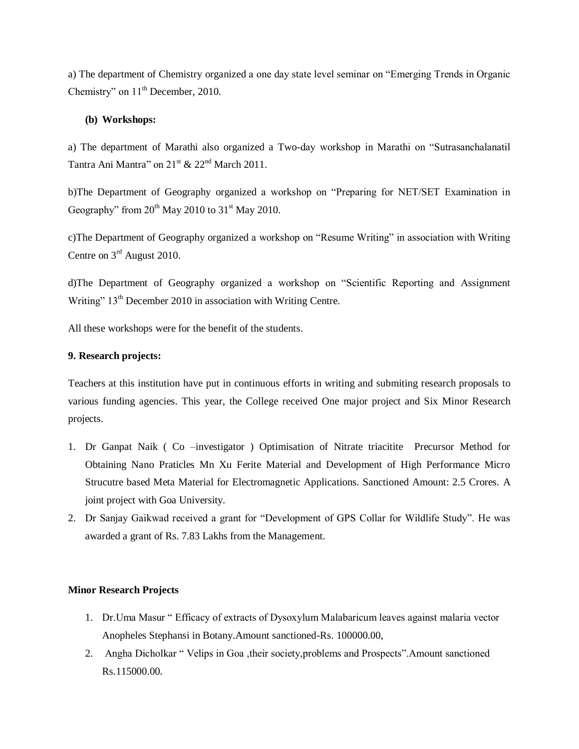a) The department of Chemistry organized a one day state level seminar on "Emerging Trends in Organic Chemistry" on 11<sup>th</sup> December, 2010.

# **(b) Workshops:**

a) The department of Marathi also organized a Two-day workshop in Marathi on "Sutrasanchalanatil Tantra Ani Mantra" on  $21^{st}$  &  $22^{nd}$  March 2011.

b)The Department of Geography organized a workshop on "Preparing for NET/SET Examination in Geography" from  $20^{th}$  May 2010 to  $31^{st}$  May 2010.

c)The Department of Geography organized a workshop on "Resume Writing" in association with Writing Centre on 3<sup>rd</sup> August 2010.

d)The Department of Geography organized a workshop on "Scientific Reporting and Assignment Writing" 13<sup>th</sup> December 2010 in association with Writing Centre.

All these workshops were for the benefit of the students.

# **9. Research projects:**

Teachers at this institution have put in continuous efforts in writing and submiting research proposals to various funding agencies. This year, the College received One major project and Six Minor Research projects.

- 1. Dr Ganpat Naik ( Co –investigator ) Optimisation of Nitrate triacitite Precursor Method for Obtaining Nano Praticles Mn Xu Ferite Material and Development of High Performance Micro Strucutre based Meta Material for Electromagnetic Applications. Sanctioned Amount: 2.5 Crores. A joint project with Goa University.
- 2. Dr Sanjay Gaikwad received a grant for "Development of GPS Collar for Wildlife Study". He was awarded a grant of Rs. 7.83 Lakhs from the Management.

# **Minor Research Projects**

- 1. Dr.Uma Masur " Efficacy of extracts of Dysoxylum Malabaricum leaves against malaria vector Anopheles Stephansi in Botany.Amount sanctioned-Rs. 100000.00,
- 2. Angha Dicholkar " Velips in Goa ,their society,problems and Prospects".Amount sanctioned Rs.115000.00.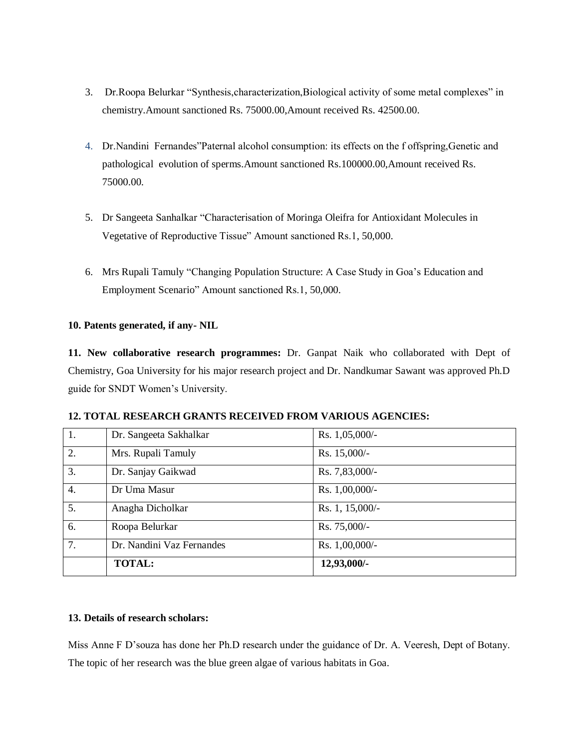- 3. Dr.Roopa Belurkar "Synthesis,characterization,Biological activity of some metal complexes" in chemistry.Amount sanctioned Rs. 75000.00,Amount received Rs. 42500.00.
- 4. Dr.Nandini Fernandes"Paternal alcohol consumption: its effects on the f offspring,Genetic and pathological evolution of sperms.Amount sanctioned Rs.100000.00,Amount received Rs. 75000.00.
- 5. Dr Sangeeta Sanhalkar "Characterisation of Moringa Oleifra for Antioxidant Molecules in Vegetative of Reproductive Tissue" Amount sanctioned Rs.1, 50,000.
- 6. Mrs Rupali Tamuly "Changing Population Structure: A Case Study in Goa"s Education and Employment Scenario" Amount sanctioned Rs.1, 50,000.

# **10. Patents generated, if any- NIL**

**11. New collaborative research programmes:** Dr. Ganpat Naik who collaborated with Dept of Chemistry, Goa University for his major research project and Dr. Nandkumar Sawant was approved Ph.D guide for SNDT Women"s University.

|  |  | <b>12. TOTAL RESEARCH GRANTS RECEIVED FROM VARIOUS AGENCIES:</b> |  |  |  |  |  |
|--|--|------------------------------------------------------------------|--|--|--|--|--|
|--|--|------------------------------------------------------------------|--|--|--|--|--|

| 1.               | Dr. Sangeeta Sakhalkar    | Rs. 1,05,000/-  |
|------------------|---------------------------|-----------------|
| $\overline{2}$ . | Mrs. Rupali Tamuly        | Rs. 15,000/-    |
| $\overline{3}$ . | Dr. Sanjay Gaikwad        | Rs. 7,83,000/-  |
| $\overline{4}$ . | Dr Uma Masur              | Rs. 1,00,000/-  |
| $\overline{5}$ . | Anagha Dicholkar          | Rs. 1, 15,000/- |
| 6.               | Roopa Belurkar            | Rs. 75,000/-    |
| 7.               | Dr. Nandini Vaz Fernandes | Rs. 1,00,000/-  |
|                  | <b>TOTAL:</b>             | 12,93,000/-     |

# **13. Details of research scholars:**

Miss Anne F D"souza has done her Ph.D research under the guidance of Dr. A. Veeresh, Dept of Botany. The topic of her research was the blue green algae of various habitats in Goa.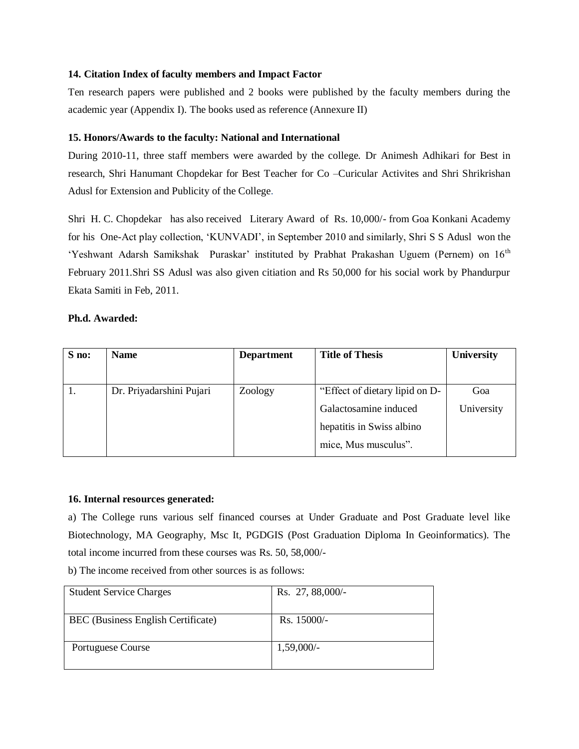### **14. Citation Index of faculty members and Impact Factor**

Ten research papers were published and 2 books were published by the faculty members during the academic year (Appendix I). The books used as reference (Annexure II)

# **15. Honors/Awards to the faculty: National and International**

During 2010-11, three staff members were awarded by the college. Dr Animesh Adhikari for Best in research, Shri Hanumant Chopdekar for Best Teacher for Co –Curicular Activites and Shri Shrikrishan Adusl for Extension and Publicity of the College.

Shri H. C. Chopdekar has also received Literary Award of Rs. 10,000/- from Goa Konkani Academy for his One-Act play collection, "KUNVADI", in September 2010 and similarly, Shri S S Adusl won the 'Yeshwant Adarsh Samikshak Puraskar' instituted by Prabhat Prakashan Uguem (Pernem) on 16<sup>th</sup> February 2011.Shri SS Adusl was also given citiation and Rs 50,000 for his social work by Phandurpur Ekata Samiti in Feb, 2011.

### **Ph.d. Awarded:**

| S no: | <b>Name</b>              | <b>Department</b> | <b>Title of Thesis</b>         | <b>University</b> |
|-------|--------------------------|-------------------|--------------------------------|-------------------|
|       |                          |                   |                                |                   |
|       | Dr. Priyadarshini Pujari | Zoology           | "Effect of dietary lipid on D- | Goa               |
|       |                          |                   | Galactosamine induced          | University        |
|       |                          |                   | hepatitis in Swiss albino      |                   |
|       |                          |                   | mice, Mus musculus".           |                   |

### **16. Internal resources generated:**

a) The College runs various self financed courses at Under Graduate and Post Graduate level like Biotechnology, MA Geography, Msc It, PGDGIS (Post Graduation Diploma In Geoinformatics). The total income incurred from these courses was Rs. 50, 58,000/-

b) The income received from other sources is as follows:

| <b>Student Service Charges</b>     | Rs. 27, 88,000/- |
|------------------------------------|------------------|
| BEC (Business English Certificate) | Rs. 15000/-      |
| Portuguese Course                  | $1,59,000/-$     |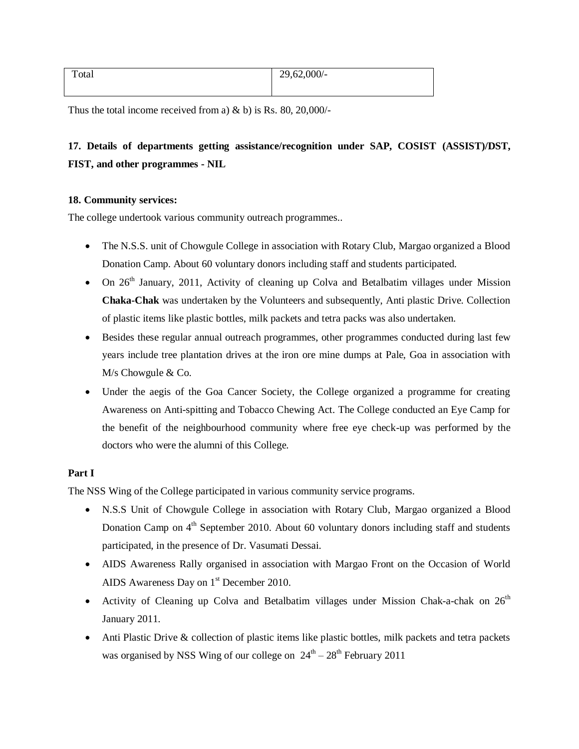| Total | 29,62,000/- |
|-------|-------------|
|       |             |

Thus the total income received from a)  $\&$  b) is Rs. 80, 20,000/-

# **17. Details of departments getting assistance/recognition under SAP, COSIST (ASSIST)/DST, FIST, and other programmes - NIL**

# **18. Community services:**

The college undertook various community outreach programmes..

- The N.S.S. unit of Chowgule College in association with Rotary Club, Margao organized a Blood Donation Camp. About 60 voluntary donors including staff and students participated.
- $\bullet$  On 26<sup>th</sup> January, 2011, Activity of cleaning up Colva and Betalbatim villages under Mission **Chaka-Chak** was undertaken by the Volunteers and subsequently, Anti plastic Drive. Collection of plastic items like plastic bottles, milk packets and tetra packs was also undertaken.
- Besides these regular annual outreach programmes, other programmes conducted during last few years include tree plantation drives at the iron ore mine dumps at Pale, Goa in association with M/s Chowgule & Co.
- Under the aegis of the Goa Cancer Society, the College organized a programme for creating Awareness on Anti-spitting and Tobacco Chewing Act. The College conducted an Eye Camp for the benefit of the neighbourhood community where free eye check-up was performed by the doctors who were the alumni of this College.

# **Part I**

The NSS Wing of the College participated in various community service programs.

- N.S.S Unit of Chowgule College in association with Rotary Club, Margao organized a Blood Donation Camp on 4<sup>th</sup> September 2010. About 60 voluntary donors including staff and students participated, in the presence of Dr. Vasumati Dessai.
- AIDS Awareness Rally organised in association with Margao Front on the Occasion of World AIDS Awareness Day on 1<sup>st</sup> December 2010.
- Activity of Cleaning up Colva and Betalbatim villages under Mission Chak-a-chak on  $26<sup>th</sup>$ January 2011.
- Anti Plastic Drive & collection of plastic items like plastic bottles, milk packets and tetra packets was organised by NSS Wing of our college on  $24<sup>th</sup> - 28<sup>th</sup>$  February 2011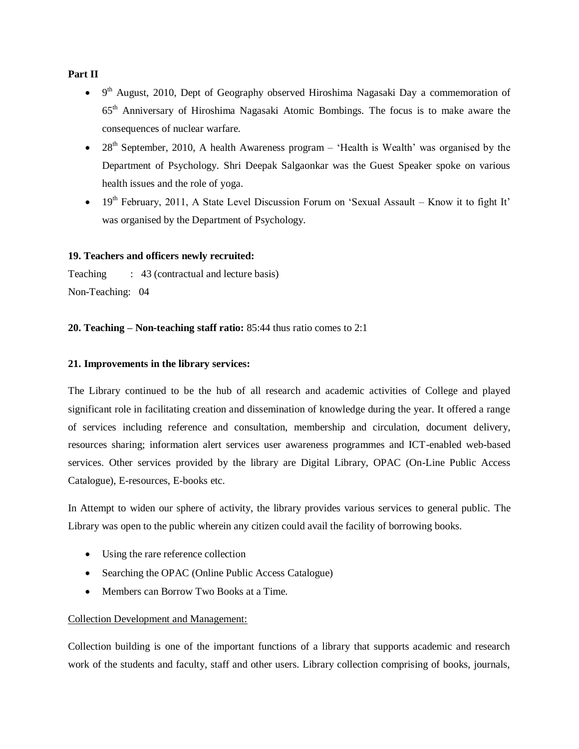### **Part II**

- $\bullet$  9<sup>th</sup> August, 2010, Dept of Geography observed Hiroshima Nagasaki Day a commemoration of 65th Anniversary of Hiroshima Nagasaki Atomic Bombings. The focus is to make aware the consequences of nuclear warfare.
- $\bullet$  28<sup>th</sup> September, 2010, A health Awareness program 'Health is Wealth' was organised by the Department of Psychology. Shri Deepak Salgaonkar was the Guest Speaker spoke on various health issues and the role of yoga.
- $\bullet$  19<sup>th</sup> February, 2011, A State Level Discussion Forum on 'Sexual Assault Know it to fight It' was organised by the Department of Psychology.

# **19. Teachers and officers newly recruited:**

Teaching : 43 (contractual and lecture basis) Non-Teaching: 04

# **20. Teaching – Non-teaching staff ratio:** 85:44 thus ratio comes to 2:1

### **21. Improvements in the library services:**

The Library continued to be the hub of all research and academic activities of College and played significant role in facilitating creation and dissemination of knowledge during the year. It offered a range of services including reference and consultation, membership and circulation, document delivery, resources sharing; information alert services user awareness programmes and ICT-enabled web-based services. Other services provided by the library are Digital Library, OPAC (On-Line Public Access Catalogue), E-resources, E-books etc.

In Attempt to widen our sphere of activity, the library provides various services to general public. The Library was open to the public wherein any citizen could avail the facility of borrowing books.

- Using the rare reference collection
- Searching the OPAC (Online Public Access Catalogue)
- Members can Borrow Two Books at a Time.

# Collection Development and Management:

Collection building is one of the important functions of a library that supports academic and research work of the students and faculty, staff and other users. Library collection comprising of books, journals,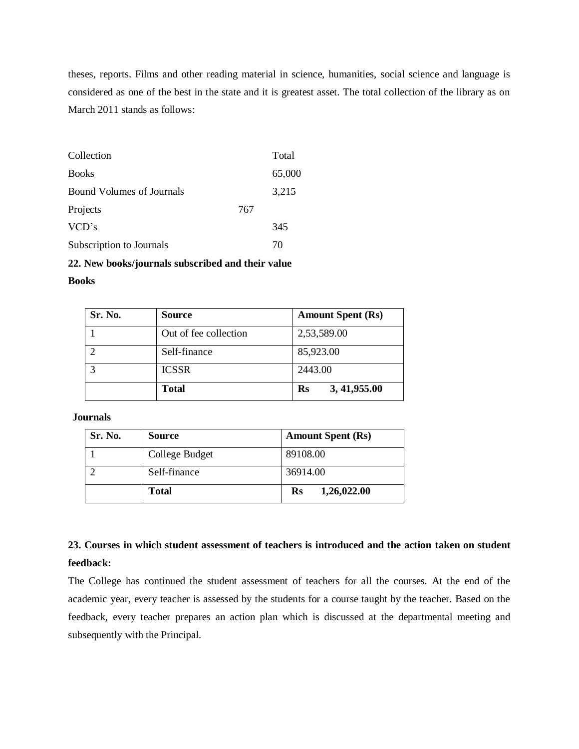theses, reports. Films and other reading material in science, humanities, social science and language is considered as one of the best in the state and it is greatest asset. The total collection of the library as on March 2011 stands as follows:

| Collection                       |     | Total  |
|----------------------------------|-----|--------|
| <b>Books</b>                     |     | 65,000 |
| <b>Bound Volumes of Journals</b> |     | 3,215  |
| Projects                         | 767 |        |
| VCD's                            |     | 345    |
| Subscription to Journals         |     | 70     |

# **22. New books/journals subscribed and their value**

### **Books**

| Sr. No. | <b>Source</b>         | <b>Amount Spent (Rs)</b>        |
|---------|-----------------------|---------------------------------|
|         | Out of fee collection | 2,53,589.00                     |
| ി       | Self-finance          | 85,923.00                       |
|         | <b>ICSSR</b>          | 2443.00                         |
|         | <b>Total</b>          | 3, 41, 955.00<br>$\mathbf{R}$ s |

**Journals** 

| Sr. No. | <b>Source</b>  | <b>Amount Spent (Rs)</b>      |
|---------|----------------|-------------------------------|
|         | College Budget | 89108.00                      |
|         | Self-finance   | 36914.00                      |
|         | Total          | 1,26,022.00<br>$\mathbf{R}$ s |

# **23. Courses in which student assessment of teachers is introduced and the action taken on student feedback:**

The College has continued the student assessment of teachers for all the courses. At the end of the academic year, every teacher is assessed by the students for a course taught by the teacher. Based on the feedback, every teacher prepares an action plan which is discussed at the departmental meeting and subsequently with the Principal.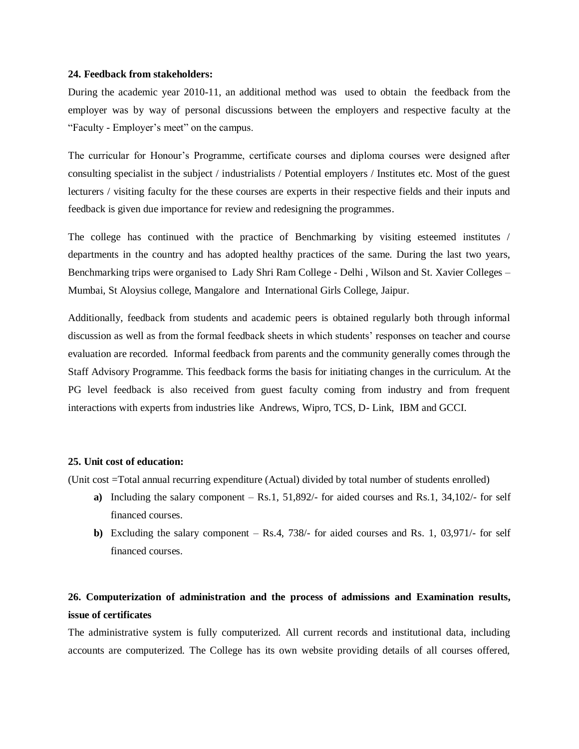#### **24. Feedback from stakeholders:**

During the academic year 2010-11, an additional method was used to obtain the feedback from the employer was by way of personal discussions between the employers and respective faculty at the "Faculty - Employer"s meet" on the campus.

The curricular for Honour's Programme, certificate courses and diploma courses were designed after consulting specialist in the subject / industrialists / Potential employers / Institutes etc. Most of the guest lecturers / visiting faculty for the these courses are experts in their respective fields and their inputs and feedback is given due importance for review and redesigning the programmes.

The college has continued with the practice of Benchmarking by visiting esteemed institutes / departments in the country and has adopted healthy practices of the same. During the last two years, Benchmarking trips were organised to Lady Shri Ram College - Delhi , Wilson and St. Xavier Colleges – Mumbai, St Aloysius college, Mangalore and International Girls College, Jaipur.

Additionally, feedback from students and academic peers is obtained regularly both through informal discussion as well as from the formal feedback sheets in which students" responses on teacher and course evaluation are recorded. Informal feedback from parents and the community generally comes through the Staff Advisory Programme. This feedback forms the basis for initiating changes in the curriculum. At the PG level feedback is also received from guest faculty coming from industry and from frequent interactions with experts from industries like Andrews, Wipro, TCS, D- Link, IBM and GCCI.

#### **25. Unit cost of education:**

(Unit cost =Total annual recurring expenditure (Actual) divided by total number of students enrolled)

- **a)** Including the salary component Rs.1, 51,892/- for aided courses and Rs.1, 34,102/- for self financed courses.
- **b)** Excluding the salary component Rs.4, 738/- for aided courses and Rs. 1, 03,971/- for self financed courses.

# **26. Computerization of administration and the process of admissions and Examination results, issue of certificates**

The administrative system is fully computerized. All current records and institutional data, including accounts are computerized. The College has its own website providing details of all courses offered,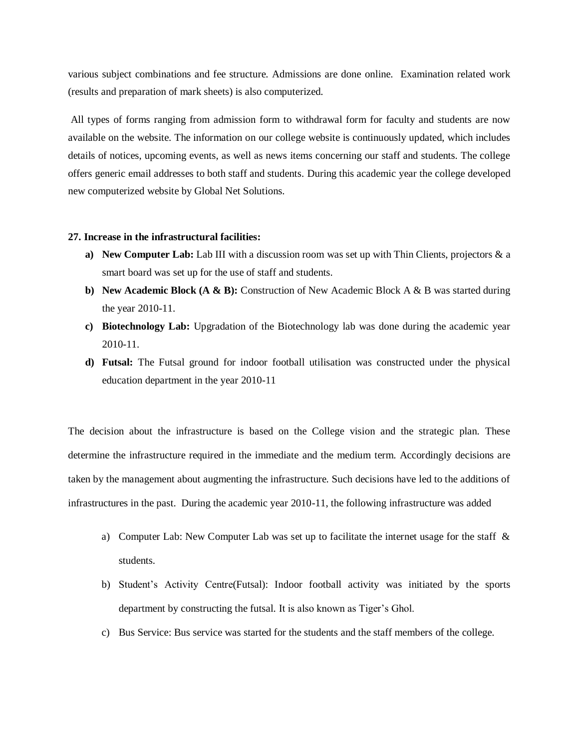various subject combinations and fee structure. Admissions are done online. Examination related work (results and preparation of mark sheets) is also computerized.

All types of forms ranging from admission form to withdrawal form for faculty and students are now available on the website. The information on our college website is continuously updated, which includes details of notices, upcoming events, as well as news items concerning our staff and students. The college offers generic email addresses to both staff and students. During this academic year the college developed new computerized website by Global Net Solutions.

#### **27. Increase in the infrastructural facilities:**

- **a) New Computer Lab:** Lab III with a discussion room was set up with Thin Clients, projectors & a smart board was set up for the use of staff and students.
- **b) New Academic Block (A & B):** Construction of New Academic Block A & B was started during the year 2010-11.
- **c) Biotechnology Lab:** Upgradation of the Biotechnology lab was done during the academic year 2010-11.
- **d) Futsal:** The Futsal ground for indoor football utilisation was constructed under the physical education department in the year 2010-11

The decision about the infrastructure is based on the College vision and the strategic plan. These determine the infrastructure required in the immediate and the medium term. Accordingly decisions are taken by the management about augmenting the infrastructure. Such decisions have led to the additions of infrastructures in the past. During the academic year 2010-11, the following infrastructure was added

- a) Computer Lab: New Computer Lab was set up to facilitate the internet usage for the staff  $\&$ students.
- b) Student"s Activity Centre(Futsal): Indoor football activity was initiated by the sports department by constructing the futsal. It is also known as Tiger"s Ghol.
- c) Bus Service: Bus service was started for the students and the staff members of the college.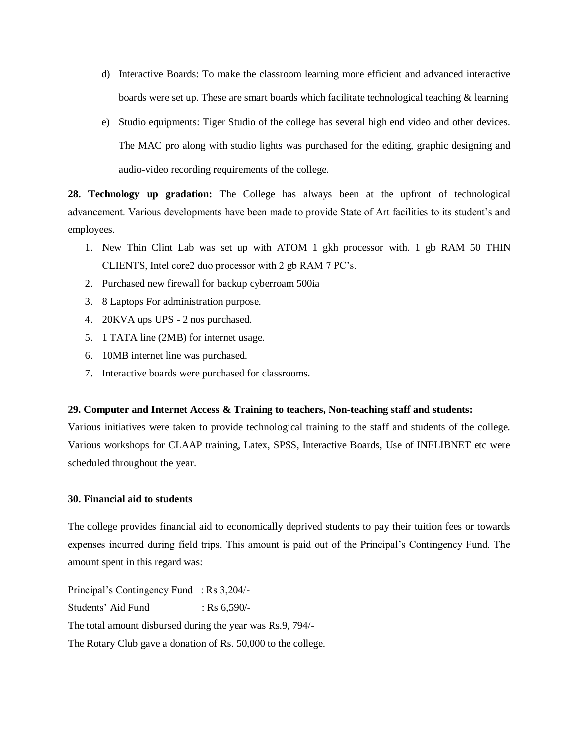- d) Interactive Boards: To make the classroom learning more efficient and advanced interactive boards were set up. These are smart boards which facilitate technological teaching & learning
- e) Studio equipments: Tiger Studio of the college has several high end video and other devices. The MAC pro along with studio lights was purchased for the editing, graphic designing and audio-video recording requirements of the college.

**28. Technology up gradation:** The College has always been at the upfront of technological advancement. Various developments have been made to provide State of Art facilities to its student"s and employees.

- 1. New Thin Clint Lab was set up with ATOM 1 gkh processor with. 1 gb RAM 50 THIN CLIENTS, Intel core2 duo processor with 2 gb RAM 7 PC"s.
- 2. Purchased new firewall for backup cyberroam 500ia
- 3. 8 Laptops For administration purpose.
- 4. 20KVA ups UPS 2 nos purchased.
- 5. 1 TATA line (2MB) for internet usage.
- 6. 10MB internet line was purchased.
- 7. Interactive boards were purchased for classrooms.

# **29. Computer and Internet Access & Training to teachers, Non-teaching staff and students:**

Various initiatives were taken to provide technological training to the staff and students of the college. Various workshops for CLAAP training, Latex, SPSS, Interactive Boards, Use of INFLIBNET etc were scheduled throughout the year.

### **30. Financial aid to students**

The college provides financial aid to economically deprived students to pay their tuition fees or towards expenses incurred during field trips. This amount is paid out of the Principal"s Contingency Fund. The amount spent in this regard was:

Principal"s Contingency Fund : Rs 3,204/- Students' Aid Fund : Rs 6,590/-The total amount disbursed during the year was Rs.9, 794/- The Rotary Club gave a donation of Rs. 50,000 to the college.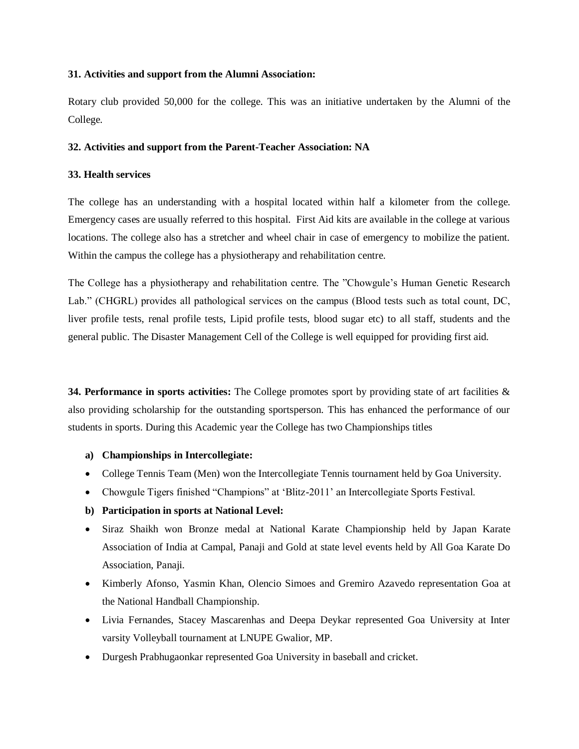# **31. Activities and support from the Alumni Association:**

Rotary club provided 50,000 for the college. This was an initiative undertaken by the Alumni of the College.

### **32. Activities and support from the Parent-Teacher Association: NA**

### **33. Health services**

The college has an understanding with a hospital located within half a kilometer from the college. Emergency cases are usually referred to this hospital. First Aid kits are available in the college at various locations. The college also has a stretcher and wheel chair in case of emergency to mobilize the patient. Within the campus the college has a physiotherapy and rehabilitation centre.

The College has a physiotherapy and rehabilitation centre. The "Chowgule"s Human Genetic Research Lab." (CHGRL) provides all pathological services on the campus (Blood tests such as total count, DC, liver profile tests, renal profile tests, Lipid profile tests, blood sugar etc) to all staff, students and the general public. The Disaster Management Cell of the College is well equipped for providing first aid.

**34. Performance in sports activities:** The College promotes sport by providing state of art facilities & also providing scholarship for the outstanding sportsperson. This has enhanced the performance of our students in sports. During this Academic year the College has two Championships titles

# **a) Championships in Intercollegiate:**

- College Tennis Team (Men) won the Intercollegiate Tennis tournament held by Goa University.
- Chowgule Tigers finished "Champions" at 'Blitz-2011' an Intercollegiate Sports Festival.
- **b) Participation in sports at National Level:**
- Siraz Shaikh won Bronze medal at National Karate Championship held by Japan Karate Association of India at Campal, Panaji and Gold at state level events held by All Goa Karate Do Association, Panaji.
- Kimberly Afonso, Yasmin Khan, Olencio Simoes and Gremiro Azavedo representation Goa at the National Handball Championship.
- Livia Fernandes, Stacey Mascarenhas and Deepa Deykar represented Goa University at Inter varsity Volleyball tournament at LNUPE Gwalior, MP.
- Durgesh Prabhugaonkar represented Goa University in baseball and cricket.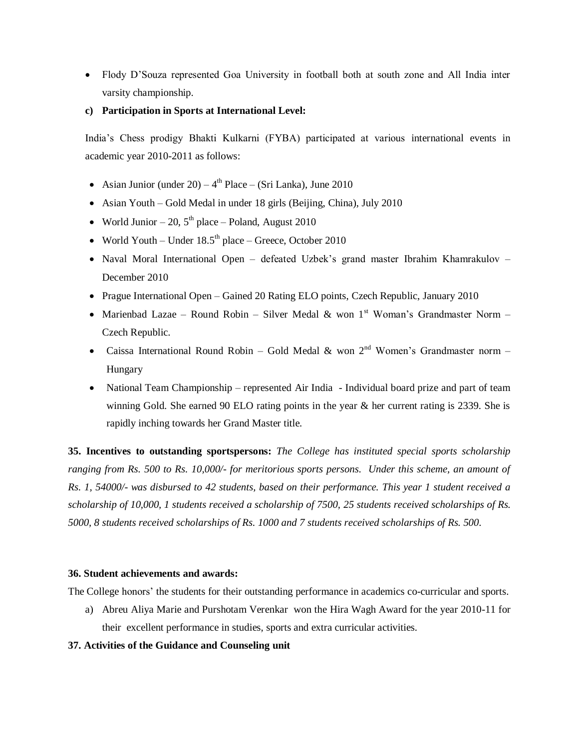- Flody D"Souza represented Goa University in football both at south zone and All India inter varsity championship.
- **c) Participation in Sports at International Level:**

India"s Chess prodigy Bhakti Kulkarni (FYBA) participated at various international events in academic year 2010-2011 as follows:

- Asian Junior (under  $20 4<sup>th</sup>$  Place (Sri Lanka), June 2010
- Asian Youth Gold Medal in under 18 girls (Beijing, China), July 2010
- World Junior 20,  $5<sup>th</sup>$  place Poland, August 2010
- World Youth Under  $18.5<sup>th</sup>$  place Greece, October 2010
- Naval Moral International Open defeated Uzbek's grand master Ibrahim Khamrakulov December 2010
- Prague International Open Gained 20 Rating ELO points, Czech Republic, January 2010
- Marienbad Lazae Round Robin Silver Medal & won 1<sup>st</sup> Woman's Grandmaster Norm Czech Republic.
- Caissa International Round Robin Gold Medal & won 2<sup>nd</sup> Women's Grandmaster norm Hungary
- National Team Championship represented Air India Individual board prize and part of team winning Gold. She earned 90 ELO rating points in the year & her current rating is 2339. She is rapidly inching towards her Grand Master title.

**35. Incentives to outstanding sportspersons:** *The College has instituted special sports scholarship ranging from Rs. 500 to Rs. 10,000/- for meritorious sports persons. Under this scheme, an amount of Rs. 1, 54000/- was disbursed to 42 students, based on their performance. This year 1 student received a scholarship of 10,000, 1 students received a scholarship of 7500, 25 students received scholarships of Rs. 5000, 8 students received scholarships of Rs. 1000 and 7 students received scholarships of Rs. 500.*

# **36. Student achievements and awards:**

The College honors' the students for their outstanding performance in academics co-curricular and sports.

a) Abreu Aliya Marie and Purshotam Verenkar won the Hira Wagh Award for the year 2010-11 for their excellent performance in studies, sports and extra curricular activities.

# **37. Activities of the Guidance and Counseling unit**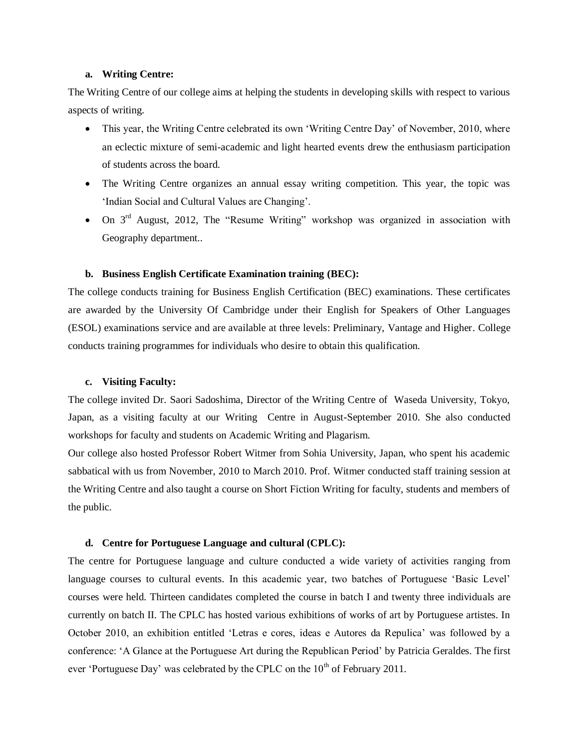#### **a. Writing Centre:**

The Writing Centre of our college aims at helping the students in developing skills with respect to various aspects of writing.

- This year, the Writing Centre celebrated its own 'Writing Centre Day' of November, 2010, where an eclectic mixture of semi-academic and light hearted events drew the enthusiasm participation of students across the board.
- The Writing Centre organizes an annual essay writing competition. This year, the topic was 'Indian Social and Cultural Values are Changing'.
- On 3<sup>rd</sup> August, 2012, The "Resume Writing" workshop was organized in association with Geography department..

#### **b. Business English Certificate Examination training (BEC):**

The college conducts training for Business English Certification (BEC) examinations. These certificates are awarded by the University Of Cambridge under their English for Speakers of Other Languages (ESOL) examinations service and are available at three levels: Preliminary, Vantage and Higher. College conducts training programmes for individuals who desire to obtain this qualification.

#### **c. Visiting Faculty:**

The college invited Dr. Saori Sadoshima, Director of the Writing Centre of Waseda University, Tokyo, Japan, as a visiting faculty at our Writing Centre in August-September 2010. She also conducted workshops for faculty and students on Academic Writing and Plagarism.

Our college also hosted Professor Robert Witmer from Sohia University, Japan, who spent his academic sabbatical with us from November, 2010 to March 2010. Prof. Witmer conducted staff training session at the Writing Centre and also taught a course on Short Fiction Writing for faculty, students and members of the public.

### **d. Centre for Portuguese Language and cultural (CPLC):**

The centre for Portuguese language and culture conducted a wide variety of activities ranging from language courses to cultural events. In this academic year, two batches of Portuguese "Basic Level" courses were held. Thirteen candidates completed the course in batch I and twenty three individuals are currently on batch II. The CPLC has hosted various exhibitions of works of art by Portuguese artistes. In October 2010, an exhibition entitled "Letras e cores, ideas e Autores da Repulica" was followed by a conference: "A Glance at the Portuguese Art during the Republican Period" by Patricia Geraldes. The first ever 'Portuguese Day' was celebrated by the CPLC on the  $10<sup>th</sup>$  of February 2011.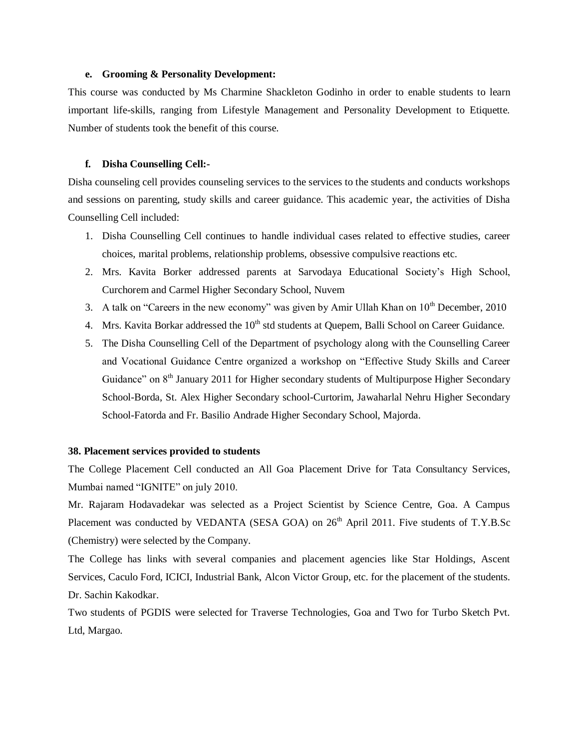#### **e. Grooming & Personality Development:**

This course was conducted by Ms Charmine Shackleton Godinho in order to enable students to learn important life-skills, ranging from Lifestyle Management and Personality Development to Etiquette. Number of students took the benefit of this course.

#### **f. Disha Counselling Cell:-**

Disha counseling cell provides counseling services to the services to the students and conducts workshops and sessions on parenting, study skills and career guidance. This academic year, the activities of Disha Counselling Cell included:

- 1. Disha Counselling Cell continues to handle individual cases related to effective studies, career choices, marital problems, relationship problems, obsessive compulsive reactions etc.
- 2. Mrs. Kavita Borker addressed parents at Sarvodaya Educational Society"s High School, Curchorem and Carmel Higher Secondary School, Nuvem
- 3. A talk on "Careers in the new economy" was given by Amir Ullah Khan on  $10<sup>th</sup>$  December, 2010
- 4. Mrs. Kavita Borkar addressed the  $10<sup>th</sup>$  std students at Ouepem. Balli School on Career Guidance.
- 5. The Disha Counselling Cell of the Department of psychology along with the Counselling Career and Vocational Guidance Centre organized a workshop on "Effective Study Skills and Career Guidance" on  $8<sup>th</sup>$  January 2011 for Higher secondary students of Multipurpose Higher Secondary School-Borda, St. Alex Higher Secondary school-Curtorim, Jawaharlal Nehru Higher Secondary School-Fatorda and Fr. Basilio Andrade Higher Secondary School, Majorda.

#### **38. Placement services provided to students**

The College Placement Cell conducted an All Goa Placement Drive for Tata Consultancy Services, Mumbai named "IGNITE" on july 2010.

Mr. Rajaram Hodavadekar was selected as a Project Scientist by Science Centre, Goa. A Campus Placement was conducted by VEDANTA (SESA GOA) on  $26<sup>th</sup>$  April 2011. Five students of T.Y.B.Sc (Chemistry) were selected by the Company.

The College has links with several companies and placement agencies like Star Holdings, Ascent Services, Caculo Ford, ICICI, Industrial Bank, Alcon Victor Group, etc. for the placement of the students. Dr. Sachin Kakodkar.

Two students of PGDIS were selected for Traverse Technologies, Goa and Two for Turbo Sketch Pvt. Ltd, Margao.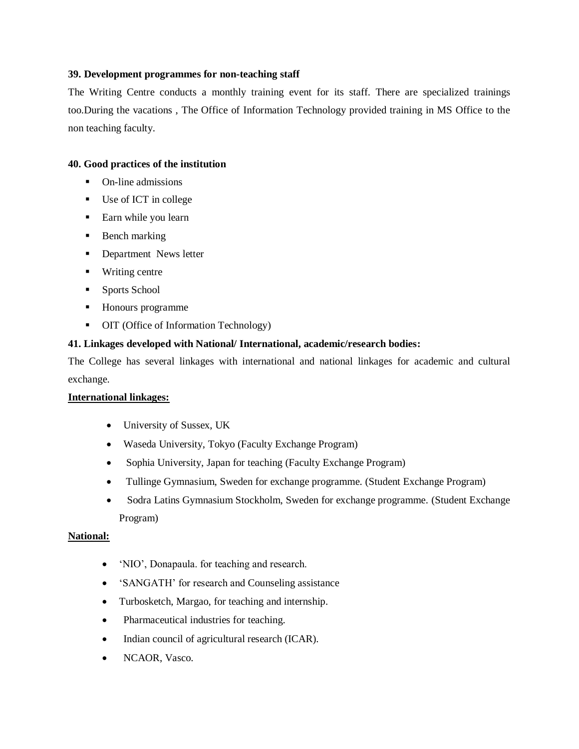# **39. Development programmes for non-teaching staff**

The Writing Centre conducts a monthly training event for its staff. There are specialized trainings too.During the vacations , The Office of Information Technology provided training in MS Office to the non teaching faculty.

# **40. Good practices of the institution**

- On-line admissions
- Use of ICT in college
- Earn while you learn
- **Bench marking**
- Department News letter
- Writing centre
- **Sports School**
- Honours programme
- OIT (Office of Information Technology)

# **41. Linkages developed with National/ International, academic/research bodies:**

The College has several linkages with international and national linkages for academic and cultural exchange.

# **International linkages:**

- University of Sussex, UK
- Waseda University, Tokyo (Faculty Exchange Program)
- Sophia University, Japan for teaching (Faculty Exchange Program)
- Tullinge Gymnasium, Sweden for exchange programme. (Student Exchange Program)
- Sodra Latins Gymnasium Stockholm, Sweden for exchange programme. (Student Exchange Program)

# **National:**

- 'NIO', Donapaula. for teaching and research.
- 'SANGATH' for research and Counseling assistance
- Turbosketch, Margao, for teaching and internship.
- Pharmaceutical industries for teaching.
- Indian council of agricultural research (ICAR).
- NCAOR, Vasco.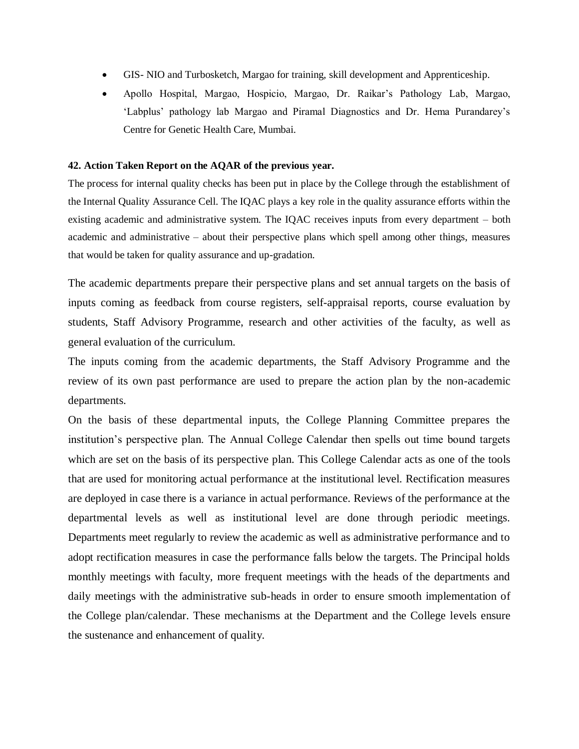- GIS- NIO and Turbosketch, Margao for training, skill development and Apprenticeship.
- Apollo Hospital, Margao, Hospicio, Margao, Dr. Raikar"s Pathology Lab, Margao, "Labplus" pathology lab Margao and Piramal Diagnostics and Dr. Hema Purandarey"s Centre for Genetic Health Care, Mumbai.

### **42. Action Taken Report on the AQAR of the previous year.**

The process for internal quality checks has been put in place by the College through the establishment of the Internal Quality Assurance Cell. The IQAC plays a key role in the quality assurance efforts within the existing academic and administrative system. The IQAC receives inputs from every department – both academic and administrative – about their perspective plans which spell among other things, measures that would be taken for quality assurance and up-gradation.

The academic departments prepare their perspective plans and set annual targets on the basis of inputs coming as feedback from course registers, self-appraisal reports, course evaluation by students, Staff Advisory Programme, research and other activities of the faculty, as well as general evaluation of the curriculum.

The inputs coming from the academic departments, the Staff Advisory Programme and the review of its own past performance are used to prepare the action plan by the non-academic departments.

On the basis of these departmental inputs, the College Planning Committee prepares the institution"s perspective plan. The Annual College Calendar then spells out time bound targets which are set on the basis of its perspective plan. This College Calendar acts as one of the tools that are used for monitoring actual performance at the institutional level. Rectification measures are deployed in case there is a variance in actual performance. Reviews of the performance at the departmental levels as well as institutional level are done through periodic meetings. Departments meet regularly to review the academic as well as administrative performance and to adopt rectification measures in case the performance falls below the targets. The Principal holds monthly meetings with faculty, more frequent meetings with the heads of the departments and daily meetings with the administrative sub-heads in order to ensure smooth implementation of the College plan/calendar. These mechanisms at the Department and the College levels ensure the sustenance and enhancement of quality.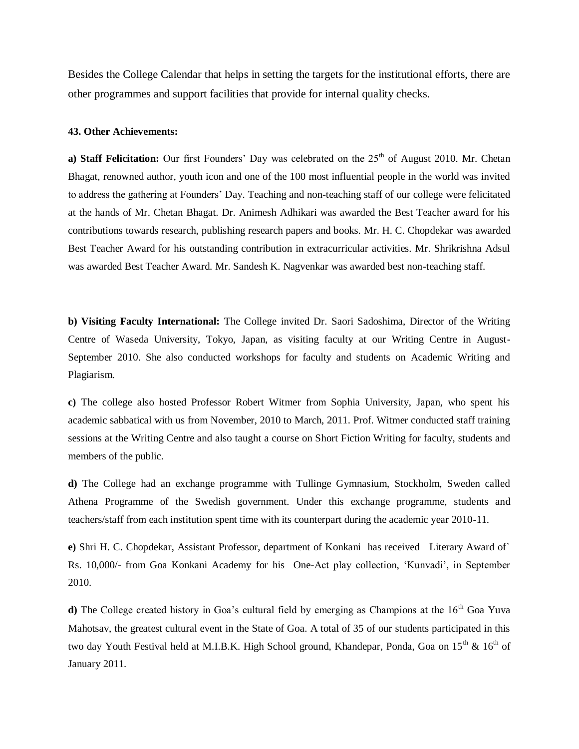Besides the College Calendar that helps in setting the targets for the institutional efforts, there are other programmes and support facilities that provide for internal quality checks.

### **43. Other Achievements:**

**a) Staff Felicitation:** Our first Founders' Day was celebrated on the 25<sup>th</sup> of August 2010. Mr. Chetan Bhagat, renowned author, youth icon and one of the 100 most influential people in the world was invited to address the gathering at Founders" Day. Teaching and non-teaching staff of our college were felicitated at the hands of Mr. Chetan Bhagat. Dr. Animesh Adhikari was awarded the Best Teacher award for his contributions towards research, publishing research papers and books. Mr. H. C. Chopdekar was awarded Best Teacher Award for his outstanding contribution in extracurricular activities. Mr. Shrikrishna Adsul was awarded Best Teacher Award. Mr. Sandesh K. Nagvenkar was awarded best non-teaching staff.

**b) Visiting Faculty International:** The College invited Dr. Saori Sadoshima, Director of the Writing Centre of Waseda University, Tokyo, Japan, as visiting faculty at our Writing Centre in August-September 2010. She also conducted workshops for faculty and students on Academic Writing and Plagiarism.

**c)** The college also hosted Professor Robert Witmer from Sophia University, Japan, who spent his academic sabbatical with us from November, 2010 to March, 2011. Prof. Witmer conducted staff training sessions at the Writing Centre and also taught a course on Short Fiction Writing for faculty, students and members of the public.

**d)** The College had an exchange programme with Tullinge Gymnasium, Stockholm, Sweden called Athena Programme of the Swedish government. Under this exchange programme, students and teachers/staff from each institution spent time with its counterpart during the academic year 2010-11.

**e)** Shri H. C. Chopdekar, Assistant Professor, department of Konkani has received Literary Award of` Rs. 10,000/- from Goa Konkani Academy for his One-Act play collection, "Kunvadi", in September 2010.

**d**) The College created history in Goa's cultural field by emerging as Champions at the 16<sup>th</sup> Goa Yuva Mahotsav, the greatest cultural event in the State of Goa. A total of 35 of our students participated in this two day Youth Festival held at M.I.B.K. High School ground, Khandepar, Ponda, Goa on 15<sup>th</sup> & 16<sup>th</sup> of January 2011.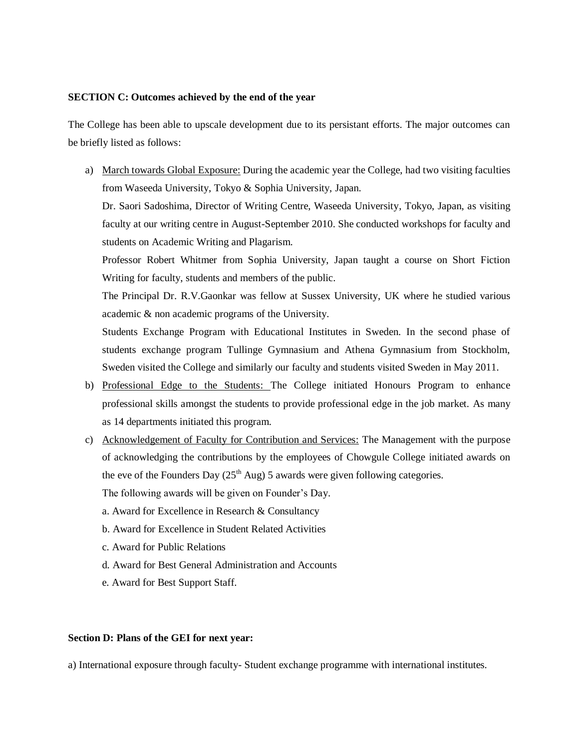### **SECTION C: Outcomes achieved by the end of the year**

The College has been able to upscale development due to its persistant efforts. The major outcomes can be briefly listed as follows:

a) March towards Global Exposure: During the academic year the College, had two visiting faculties from Waseeda University, Tokyo & Sophia University, Japan.

Dr. Saori Sadoshima, Director of Writing Centre, Waseeda University, Tokyo, Japan, as visiting faculty at our writing centre in August-September 2010. She conducted workshops for faculty and students on Academic Writing and Plagarism.

Professor Robert Whitmer from Sophia University, Japan taught a course on Short Fiction Writing for faculty, students and members of the public.

The Principal Dr. R.V.Gaonkar was fellow at Sussex University, UK where he studied various academic & non academic programs of the University.

Students Exchange Program with Educational Institutes in Sweden. In the second phase of students exchange program Tullinge Gymnasium and Athena Gymnasium from Stockholm, Sweden visited the College and similarly our faculty and students visited Sweden in May 2011.

- b) Professional Edge to the Students: The College initiated Honours Program to enhance professional skills amongst the students to provide professional edge in the job market. As many as 14 departments initiated this program.
- c) Acknowledgement of Faculty for Contribution and Services: The Management with the purpose of acknowledging the contributions by the employees of Chowgule College initiated awards on the eve of the Founders Day  $(25<sup>th</sup> Aug) 5$  awards were given following categories.

The following awards will be given on Founder's Day.

- a. Award for Excellence in Research & Consultancy
- b. Award for Excellence in Student Related Activities
- c. Award for Public Relations
- d. Award for Best General Administration and Accounts
- e. Award for Best Support Staff.

# **Section D: Plans of the GEI for next year:**

a) International exposure through faculty- Student exchange programme with international institutes.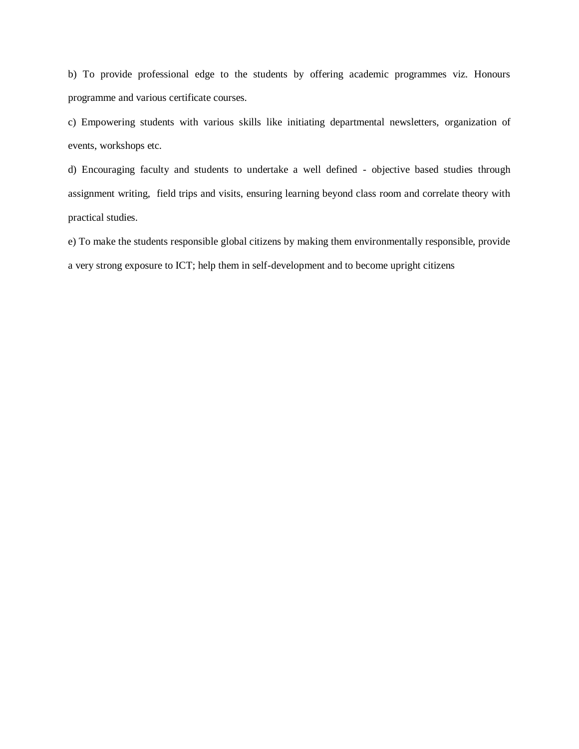b) To provide professional edge to the students by offering academic programmes viz. Honours programme and various certificate courses.

c) Empowering students with various skills like initiating departmental newsletters, organization of events, workshops etc.

d) Encouraging faculty and students to undertake a well defined - objective based studies through assignment writing, field trips and visits, ensuring learning beyond class room and correlate theory with practical studies.

e) To make the students responsible global citizens by making them environmentally responsible, provide a very strong exposure to ICT; help them in self-development and to become upright citizens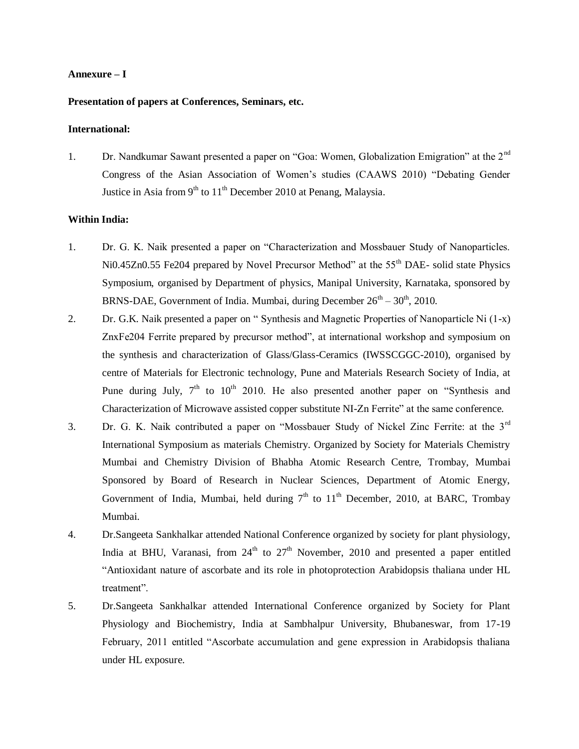### **Annexure – I**

### **Presentation of papers at Conferences, Seminars, etc.**

#### **International:**

1. Dr. Nandkumar Sawant presented a paper on "Goa: Women, Globalization Emigration" at the 2<sup>nd</sup> Congress of the Asian Association of Women"s studies (CAAWS 2010) "Debating Gender Justice in Asia from  $9<sup>th</sup>$  to  $11<sup>th</sup>$  December 2010 at Penang, Malaysia.

### **Within India:**

- 1. Dr. G. K. Naik presented a paper on "Characterization and Mossbauer Study of Nanoparticles. Ni0.45Zn0.55 Fe204 prepared by Novel Precursor Method" at the 55<sup>th</sup> DAE- solid state Physics Symposium, organised by Department of physics, Manipal University, Karnataka, sponsored by BRNS-DAE, Government of India. Mumbai, during December  $26<sup>th</sup> - 30<sup>th</sup>$ , 2010.
- 2. Dr. G.K. Naik presented a paper on " Synthesis and Magnetic Properties of Nanoparticle Ni (1-x) ZnxFe204 Ferrite prepared by precursor method", at international workshop and symposium on the synthesis and characterization of Glass/Glass-Ceramics (IWSSCGGC-2010), organised by centre of Materials for Electronic technology, Pune and Materials Research Society of India, at Pune during July,  $7<sup>th</sup>$  to  $10<sup>th</sup>$  2010. He also presented another paper on "Synthesis and Characterization of Microwave assisted copper substitute NI-Zn Ferrite" at the same conference.
- 3. Dr. G. K. Naik contributed a paper on "Mossbauer Study of Nickel Zinc Ferrite: at the 3rd International Symposium as materials Chemistry. Organized by Society for Materials Chemistry Mumbai and Chemistry Division of Bhabha Atomic Research Centre, Trombay, Mumbai Sponsored by Board of Research in Nuclear Sciences, Department of Atomic Energy, Government of India, Mumbai, held during  $7<sup>th</sup>$  to  $11<sup>th</sup>$  December, 2010, at BARC, Trombay Mumbai.
- 4. Dr.Sangeeta Sankhalkar attended National Conference organized by society for plant physiology, India at BHU, Varanasi, from  $24<sup>th</sup>$  to  $27<sup>th</sup>$  November, 2010 and presented a paper entitled "Antioxidant nature of ascorbate and its role in photoprotection Arabidopsis thaliana under HL treatment".
- 5. Dr.Sangeeta Sankhalkar attended International Conference organized by Society for Plant Physiology and Biochemistry, India at Sambhalpur University, Bhubaneswar, from 17-19 February, 2011 entitled "Ascorbate accumulation and gene expression in Arabidopsis thaliana under HL exposure.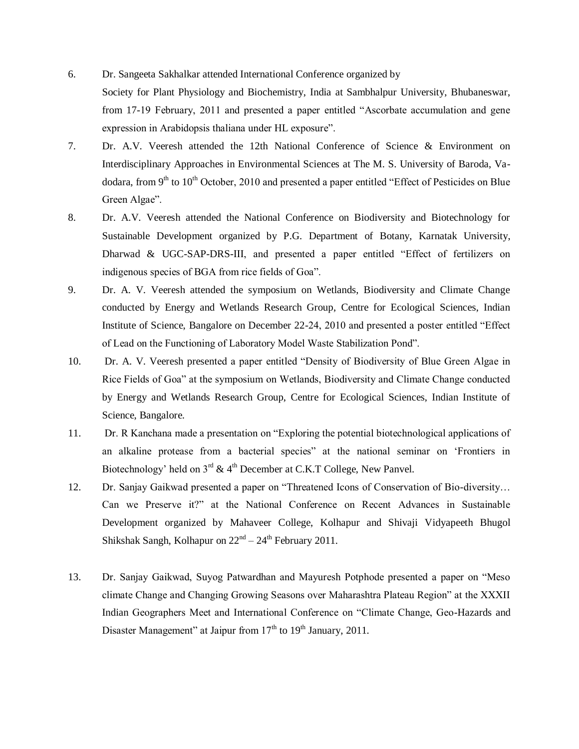- 6. Dr. Sangeeta Sakhalkar attended International Conference organized by Society for Plant Physiology and Biochemistry, India at Sambhalpur University, Bhubaneswar, from 17-19 February, 2011 and presented a paper entitled "Ascorbate accumulation and gene expression in Arabidopsis thaliana under HL exposure".
- 7. Dr. A.V. Veeresh attended the 12th National Conference of Science & Environment on Interdisciplinary Approaches in Environmental Sciences at The M. S. University of Baroda, Vadodara, from 9<sup>th</sup> to 10<sup>th</sup> October, 2010 and presented a paper entitled "Effect of Pesticides on Blue Green Algae".
- 8. Dr. A.V. Veeresh attended the National Conference on Biodiversity and Biotechnology for Sustainable Development organized by P.G. Department of Botany, Karnatak University, Dharwad & UGC-SAP-DRS-III, and presented a paper entitled "Effect of fertilizers on indigenous species of BGA from rice fields of Goa".
- 9. Dr. A. V. Veeresh attended the symposium on Wetlands, Biodiversity and Climate Change conducted by Energy and Wetlands Research Group, Centre for Ecological Sciences, Indian Institute of Science, Bangalore on December 22-24, 2010 and presented a poster entitled "Effect of Lead on the Functioning of Laboratory Model Waste Stabilization Pond".
- 10. Dr. A. V. Veeresh presented a paper entitled "Density of Biodiversity of Blue Green Algae in Rice Fields of Goa" at the symposium on Wetlands, Biodiversity and Climate Change conducted by Energy and Wetlands Research Group, Centre for Ecological Sciences, Indian Institute of Science, Bangalore.
- 11. Dr. R Kanchana made a presentation on "Exploring the potential biotechnological applications of an alkaline protease from a bacterial species" at the national seminar on "Frontiers in Biotechnology' held on  $3^{rd}$  &  $4^{th}$  December at C.K.T College, New Panvel.
- 12. Dr. Sanjay Gaikwad presented a paper on "Threatened Icons of Conservation of Bio-diversity… Can we Preserve it?" at the National Conference on Recent Advances in Sustainable Development organized by Mahaveer College, Kolhapur and Shivaji Vidyapeeth Bhugol Shikshak Sangh, Kolhapur on  $22<sup>nd</sup> - 24<sup>th</sup>$  February 2011.
- 13. Dr. Sanjay Gaikwad, Suyog Patwardhan and Mayuresh Potphode presented a paper on "Meso climate Change and Changing Growing Seasons over Maharashtra Plateau Region" at the XXXII Indian Geographers Meet and International Conference on "Climate Change, Geo-Hazards and Disaster Management" at Jaipur from  $17<sup>th</sup>$  to  $19<sup>th</sup>$  January, 2011.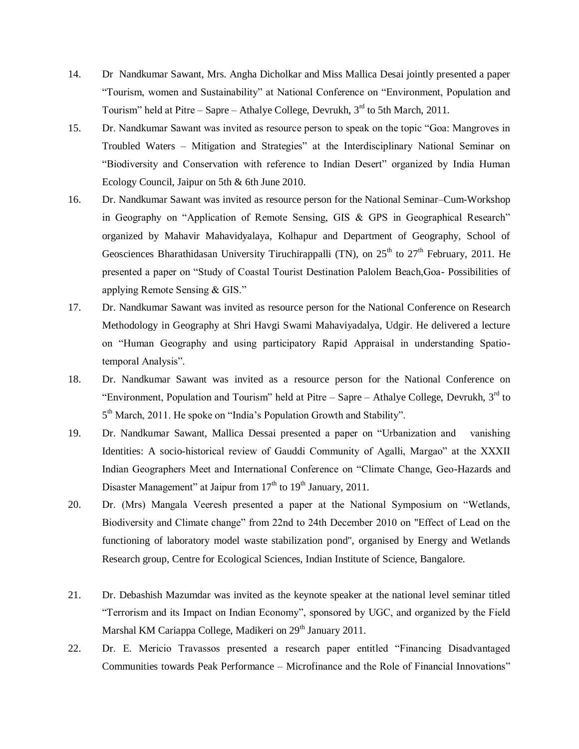- 14. Dr Nandkumar Sawant, Mrs. Angha Dicholkar and Miss Mallica Desai jointly presented a paper "Tourism, women and Sustainability" at National Conference on "Environment, Population and Tourism" held at Pitre – Sapre – Athalye College, Devrukh,  $3<sup>rd</sup>$  to 5th March, 2011.
- 15. Dr. Nandkumar Sawant was invited as resource person to speak on the topic "Goa: Mangroves in Troubled Waters – Mitigation and Strategies" at the Interdisciplinary National Seminar on "Biodiversity and Conservation with reference to Indian Desert" organized by India Human Ecology Council, Jaipur on 5th & 6th June 2010.
- 16. Dr. Nandkumar Sawant was invited as resource person for the National Seminar–Cum-Workshop in Geography on "Application of Remote Sensing, GIS & GPS in Geographical Research" organized by Mahavir Mahavidyalaya, Kolhapur and Department of Geography, School of Geosciences Bharathidasan University Tiruchirappalli (TN), on  $25<sup>th</sup>$  to  $27<sup>th</sup>$  February, 2011. He presented a paper on "Study of Coastal Tourist Destination Palolem Beach,Goa- Possibilities of applying Remote Sensing & GIS."
- 17. Dr. Nandkumar Sawant was invited as resource person for the National Conference on Research Methodology in Geography at Shri Havgi Swami Mahaviyadalya, Udgir. He delivered a lecture on "Human Geography and using participatory Rapid Appraisal in understanding Spatiotemporal Analysis".
- 18. Dr. Nandkumar Sawant was invited as a resource person for the National Conference on "Environment, Population and Tourism" held at Pitre – Sapre – Athalye College, Devrukh,  $3<sup>rd</sup>$  to 5<sup>th</sup> March, 2011. He spoke on "India's Population Growth and Stability".
- 19. Dr. Nandkumar Sawant, Mallica Dessai presented a paper on "Urbanization and vanishing Identities: A socio-historical review of Gauddi Community of Agalli, Margao" at the XXXII Indian Geographers Meet and International Conference on "Climate Change, Geo-Hazards and Disaster Management" at Jaipur from  $17<sup>th</sup>$  to  $19<sup>th</sup>$  January, 2011.
- 20. Dr. (Mrs) Mangala Veeresh presented a paper at the National Symposium on "Wetlands, Biodiversity and Climate change" from 22nd to 24th December 2010 on "Effect of Lead on the functioning of laboratory model waste stabilization pond", organised by Energy and Wetlands Research group, Centre for Ecological Sciences, Indian Institute of Science, Bangalore.
- 21. Dr. Debashish Mazumdar was invited as the keynote speaker at the national level seminar titled "Terrorism and its Impact on Indian Economy", sponsored by UGC, and organized by the Field Marshal KM Cariappa College, Madikeri on 29<sup>th</sup> January 2011.
- 22. Dr. E. Mericio Travassos presented a research paper entitled "Financing Disadvantaged Communities towards Peak Performance – Microfinance and the Role of Financial Innovations"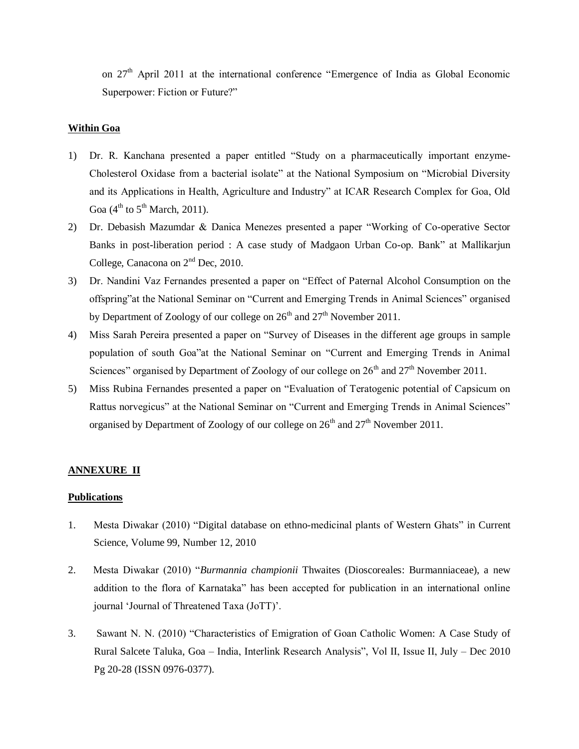on  $27<sup>th</sup>$  April 2011 at the international conference "Emergence of India as Global Economic Superpower: Fiction or Future?"

# **Within Goa**

- 1) Dr. R. Kanchana presented a paper entitled "Study on a pharmaceutically important enzyme-Cholesterol Oxidase from a bacterial isolate" at the National Symposium on "Microbial Diversity and its Applications in Health, Agriculture and Industry" at ICAR Research Complex for Goa, Old Goa  $(4<sup>th</sup>$  to  $5<sup>th</sup>$  March, 2011).
- 2) Dr. Debasish Mazumdar & Danica Menezes presented a paper "Working of Co-operative Sector Banks in post-liberation period : A case study of Madgaon Urban Co-op. Bank" at Mallikarjun College, Canacona on  $2<sup>nd</sup>$  Dec, 2010.
- 3) Dr. Nandini Vaz Fernandes presented a paper on "Effect of Paternal Alcohol Consumption on the offspring"at the National Seminar on "Current and Emerging Trends in Animal Sciences" organised by Department of Zoology of our college on  $26<sup>th</sup>$  and  $27<sup>th</sup>$  November 2011.
- 4) Miss Sarah Pereira presented a paper on "Survey of Diseases in the different age groups in sample population of south Goa"at the National Seminar on "Current and Emerging Trends in Animal Sciences" organised by Department of Zoology of our college on  $26<sup>th</sup>$  and  $27<sup>th</sup>$  November 2011.
- 5) Miss Rubina Fernandes presented a paper on "Evaluation of Teratogenic potential of Capsicum on Rattus norvegicus" at the National Seminar on "Current and Emerging Trends in Animal Sciences" organised by Department of Zoology of our college on  $26<sup>th</sup>$  and  $27<sup>th</sup>$  November 2011.

### **ANNEXURE II**

### **Publications**

- 1. Mesta Diwakar (2010) "Digital database on ethno-medicinal plants of Western Ghats" in Current Science, Volume 99, Number 12, 2010
- 2. Mesta Diwakar (2010) "*Burmannia championii* Thwaites (Dioscoreales: Burmanniaceae), a new addition to the flora of Karnataka" has been accepted for publication in an international online journal 'Journal of Threatened Taxa (JoTT)'.
- 3. Sawant N. N. (2010) "Characteristics of Emigration of Goan Catholic Women: A Case Study of Rural Salcete Taluka, Goa – India, Interlink Research Analysis", Vol II, Issue II, July – Dec 2010 Pg 20-28 (ISSN 0976-0377).